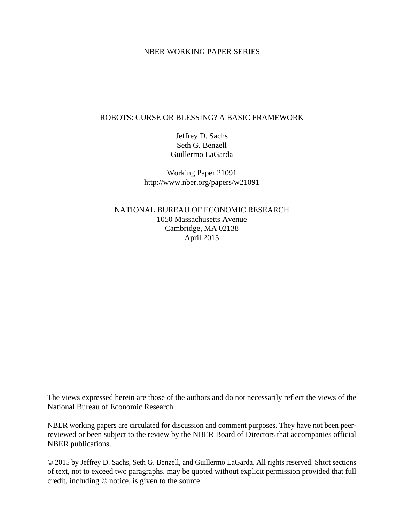### NBER WORKING PAPER SERIES

# ROBOTS: CURSE OR BLESSING? A BASIC FRAMEWORK

Jeffrey D. Sachs Seth G. Benzell Guillermo LaGarda

Working Paper 21091 http://www.nber.org/papers/w21091

NATIONAL BUREAU OF ECONOMIC RESEARCH 1050 Massachusetts Avenue Cambridge, MA 02138 April 2015

The views expressed herein are those of the authors and do not necessarily reflect the views of the National Bureau of Economic Research.

NBER working papers are circulated for discussion and comment purposes. They have not been peerreviewed or been subject to the review by the NBER Board of Directors that accompanies official NBER publications.

© 2015 by Jeffrey D. Sachs, Seth G. Benzell, and Guillermo LaGarda. All rights reserved. Short sections of text, not to exceed two paragraphs, may be quoted without explicit permission provided that full credit, including © notice, is given to the source.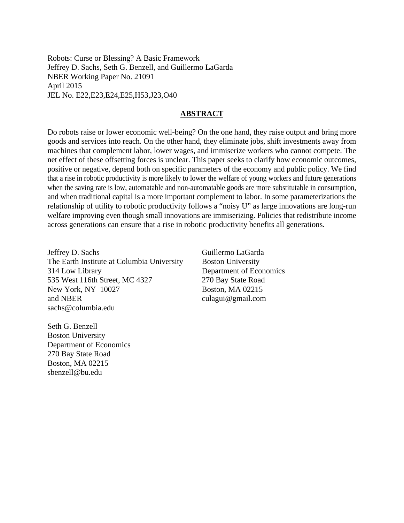Robots: Curse or Blessing? A Basic Framework Jeffrey D. Sachs, Seth G. Benzell, and Guillermo LaGarda NBER Working Paper No. 21091 April 2015 JEL No. E22,E23,E24,E25,H53,J23,O40

### **ABSTRACT**

Do robots raise or lower economic well-being? On the one hand, they raise output and bring more goods and services into reach. On the other hand, they eliminate jobs, shift investments away from machines that complement labor, lower wages, and immiserize workers who cannot compete. The net effect of these offsetting forces is unclear. This paper seeks to clarify how economic outcomes, positive or negative, depend both on specific parameters of the economy and public policy. We find that a rise in robotic productivity is more likely to lower the welfare of young workers and future generations when the saving rate is low, automatable and non-automatable goods are more substitutable in consumption, and when traditional capital is a more important complement to labor. In some parameterizations the relationship of utility to robotic productivity follows a "noisy U" as large innovations are long-run welfare improving even though small innovations are immiserizing. Policies that redistribute income across generations can ensure that a rise in robotic productivity benefits all generations.

Jeffrey D. Sachs The Earth Institute at Columbia University 314 Low Library 535 West 116th Street, MC 4327 New York, NY 10027 and NBER sachs@columbia.edu

Seth G. Benzell Boston University Department of Economics 270 Bay State Road Boston, MA 02215

sbenzell@bu.edu

Guillermo LaGarda Boston University Department of Economics 270 Bay State Road Boston, MA 02215 culagui@gmail.com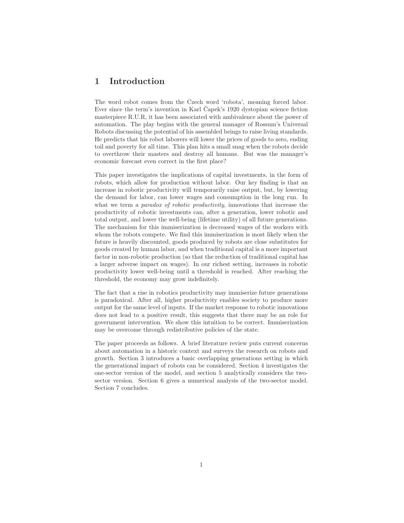# 1 Introduction

The word robot comes from the Czech word 'robota', meaning forced labor. Ever since the term's invention in Karl Capek's 1920 dystopian science fiction masterpiece R.U.R, it has been associated with ambivalence about the power of automation. The play begins with the general manager of Rossum's Universal Robots discussing the potential of his assembled beings to raise living standards. He predicts that his robot laborers will lower the prices of goods to zero, ending toil and poverty for all time. This plan hits a small snag when the robots decide to overthrow their masters and destroy all humans. But was the manager's economic forecast even correct in the first place?

This paper investigates the implications of capital investments, in the form of robots, which allow for production without labor. Our key finding is that an increase in robotic productivity will temporarily raise output, but, by lowering the demand for labor, can lower wages and consumption in the long run. In what we term a *paradox of robotic productivity*, innovations that increase the productivity of robotic investments can, after a generation, lower robotic and total output, and lower the well-being (lifetime utility) of all future generations. The mechanism for this immiserization is decreased wages of the workers with whom the robots compete. We find this immiserization is most likely when the future is heavily discounted, goods produced by robots are close substitutes for goods created by human labor, and when traditional capital is a more important factor in non-robotic production (so that the reduction of traditional capital has a larger adverse impact on wages). In our richest setting, increases in robotic productivity lower well-being until a threshold is reached. After reaching the threshold, the economy may grow indefinitely.

The fact that a rise in robotics productivity may immiserize future generations is paradoxical. After all, higher productivity enables society to produce more output for the same level of inputs. If the market response to robotic innovations does not lead to a positive result, this suggests that there may be an role for government intervention. We show this intuition to be correct. Immiserization may be overcome through redistributive policies of the state.

The paper proceeds as follows. A brief literature review puts current concerns about automation in a historic context and surveys the research on robots and growth. Section 3 introduces a basic overlapping generations setting in which the generational impact of robots can be considered. Section 4 investigates the one-sector version of the model, and section 5 analytically considers the twosector version. Section 6 gives a numerical analysis of the two-sector model. Section 7 concludes.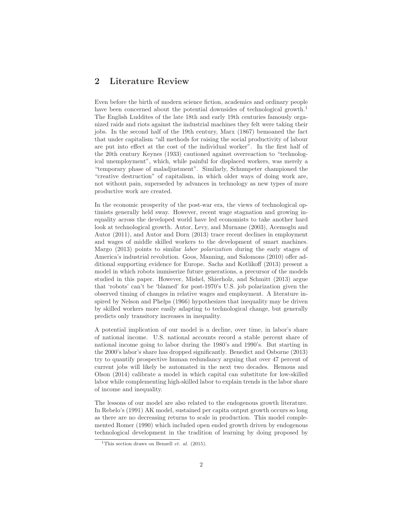# 2 Literature Review

Even before the birth of modern science fiction, academics and ordinary people have been concerned about the potential downsides of technological growth.<sup>1</sup> The English Luddites of the late 18th and early 19th centuries famously organized raids and riots against the industrial machines they felt were taking their jobs. In the second half of the 19th century, Marx (1867) bemoaned the fact that under capitalism "all methods for raising the social productivity of labour are put into effect at the cost of the individual worker". In the first half of the 20th century Keynes (1933) cautioned against overreaction to "technological unemployment", which, while painful for displaced workers, was merely a "temporary phase of maladjustment". Similarly, Schumpeter championed the "creative destruction" of capitalism, in which older ways of doing work are, not without pain, superseded by advances in technology as new types of more productive work are created.

In the economic prosperity of the post-war era, the views of technological optimists generally held sway. However, recent wage stagnation and growing inequality across the developed world have led economists to take another hard look at technological growth. Autor, Levy, and Murnane (2003), Acemoglu and Autor (2011), and Autor and Dorn (2013) trace recent declines in employment and wages of middle skilled workers to the development of smart machines. Margo (2013) points to similar *labor polarization* during the early stages of America's industrial revolution. Goos, Manning, and Salomons (2010) offer additional supporting evidence for Europe. Sachs and Kotlikoff (2013) present a model in which robots immiserize future generations, a precursor of the models studied in this paper. However, Mishel, Shierholz, and Schmitt (2013) argue that 'robots' can't be 'blamed' for post-1970's U.S. job polarization given the observed timing of changes in relative wages and employment. A literature inspired by Nelson and Phelps (1966) hypothesizes that inequality may be driven by skilled workers more easily adapting to technological change, but generally predicts only transitory increases in inequality.

A potential implication of our model is a decline, over time, in labor's share of national income. U.S. national accounts record a stable percent share of national income going to labor during the 1980's and 1990's. But starting in the 2000's labor's share has dropped significantly. Benedict and Osborne (2013) try to quantify prospective human redundancy arguing that over 47 percent of current jobs will likely be automated in the next two decades. Hemous and Olson (2014) calibrate a model in which capital can substitute for low-skilled labor while complementing high-skilled labor to explain trends in the labor share of income and inequality.

The lessons of our model are also related to the endogenous growth literature. In Rebelo's (1991) AK model, sustained per capita output growth occurs so long as there are no decreasing returns to scale in production. This model complemented Romer (1990) which included open ended growth driven by endogenous technological development in the tradition of learning by doing proposed by

<sup>&</sup>lt;sup>1</sup>This section draws on Benzell *et. al.* (2015).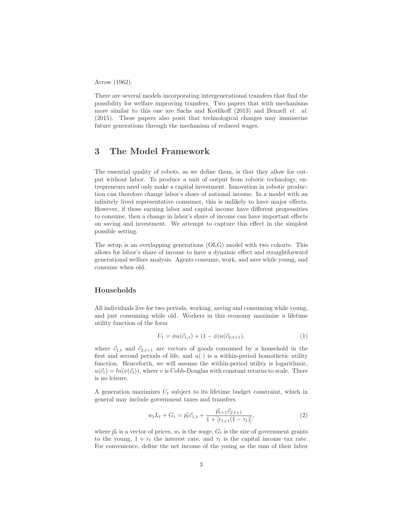Arrow (1962).

There are several models incorporating intergenerational transfers that find the possibility for welfare improving transfers. Two papers that with mechanisms more similar to this one are Sachs and Kotlikoff (2013) and Benzell *et. al.* (2015). These papers also posit that technological changes may immiserize future generations through the mechanism of reduced wages.

### 3 The Model Framework

The essential quality of robots, as we define them, is that they allow for output without labor. To produce a unit of output from robotic technology, entrepreneurs need only make a capital investment. Innovation in robotic production can therefore change labor's share of national income. In a model with an infinitely lived representative consumer, this is unlikely to have major effects. However, if those earning labor and capital income have different propensities to consume, then a change in labor's share of income can have important effects on saving and investment. We attempt to capture this effect in the simplest possible setting.

The setup is an overlapping generations (OLG) model with two cohorts. This allows for labor's share of income to have a dynamic effect and straightforward generational welfare analysis. Agents consume, work, and save while young, and consume when old.

### Households

All individuals live for two periods, working, saving and consuming while young, and just consuming while old. Workers in this economy maximize a lifetime utility function of the form

$$
U_t = \phi u(\vec{c}_{1,t}) + (1 - \phi)u(\vec{c}_{2,t+1}),
$$
\n(1)

where  $\vec{c}_{1,t}$  and  $\vec{c}_{2,t+1}$  are vectors of goods consumed by a household in the first and second periods of life, and  $u(\cdot)$  is a within-period homothetic utility function. Henceforth, we will assume the within-period utility is logarithmic,  $u(\vec{c}_t) = ln(v(\vec{c}_t))$ , where v is Cobb-Douglas with constant returns to scale. There is no leisure.

A generation maximizes  $U_t$  subject to its lifetime budget constraint, which in general may include government taxes and transfers.

$$
w_t L_t + G_t = \vec{p_t} \vec{c}_{1,t} + \frac{\vec{p}_{t+1} \vec{c}_{2,t+1}}{1 + [r_{t+1}(1 - \tau_t)]},
$$
\n(2)

where  $\vec{p}_t$  is a vector of prices,  $w_t$  is the wage,  $G_t$  is the size of government grants to the young,  $1 + r_t$  the interest rate, and  $\tau_t$  is the capital income tax rate. For convenience, define the net income of the young as the sum of their labor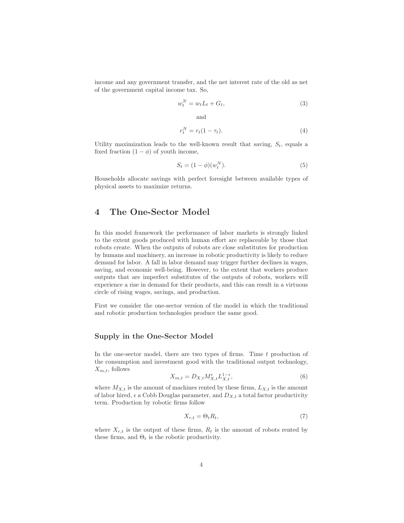income and any government transfer, and the net interest rate of the old as net of the government capital income tax. So,

$$
w_t^N = w_t L_t + G_t,\tag{3}
$$

and

$$
r_t^N = r_t(1 - \tau_t). \tag{4}
$$

Utility maximization leads to the well-known result that saving,  $S_t$ , equals a fixed fraction  $(1 - \phi)$  of youth income,

$$
S_t = (1 - \phi)(w_t^N). \tag{5}
$$

Households allocate savings with perfect foresight between available types of physical assets to maximize returns.

# 4 The One-Sector Model

In this model framework the performance of labor markets is strongly linked to the extent goods produced with human effort are replaceable by those that robots create. When the outputs of robots are close substitutes for production by humans and machinery, an increase in robotic productivity is likely to reduce demand for labor. A fall in labor demand may trigger further declines in wages, saving, and economic well-being. However, to the extent that workers produce outputs that are imperfect substitutes of the outputs of robots, workers will experience a rise in demand for their products, and this can result in a virtuous circle of rising wages, savings, and production.

First we consider the one-sector version of the model in which the traditional and robotic production technologies produce the same good.

#### Supply in the One-Sector Model

In the one-sector model, there are two types of firms. Time t production of the consumption and investment good with the traditional output technology,  $X_{m,t}$ , follows

$$
X_{m,t} = D_{X,t} M_{X,t}^{\epsilon} L_{X,t}^{1-\epsilon},\tag{6}
$$

where  $M_{X,t}$  is the amount of machines rented by these firms,  $L_{X,t}$  is the amount of labor hired,  $\epsilon$  a Cobb Douglas parameter, and  $D_{X,t}$  a total factor productivity term. Production by robotic firms follow

$$
X_{r,t} = \Theta_t R_t,\tag{7}
$$

where  $X_{r,t}$  is the output of these firms,  $R_t$  is the amount of robots rented by these firms, and  $\Theta_t$  is the robotic productivity.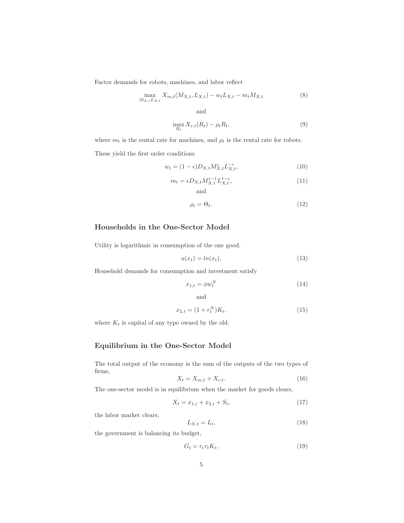Factor demands for robots, machines, and labor reflect

$$
\max_{M_{X,t}L_{X,t}} X_{m,t}(M_{X,t}, L_{X,t}) - w_t L_{X,t} - m_t M_{X,t}
$$
\n(8)

and

$$
\max_{R_t} X_{r,t}(R_t) - \rho_t R_t,\tag{9}
$$

where  $m_t$  is the rental rate for machines, and  $\rho_t$  is the rental rate for robots.

These yield the first order conditions

$$
w_t = (1 - \epsilon) D_{X,t} M_{X,t}^{\epsilon} L_{X,t}^{-\epsilon}, \tag{10}
$$

$$
m_t = \epsilon D_{X,t} M_{X,t}^{\epsilon - 1} L_{X,t}^{1 - \epsilon},
$$
\nand\n
$$
(11)
$$

$$
\rho_t = \Theta_t. \tag{12}
$$

### Households in the One-Sector Model

Utility is logarithmic in consumption of the one good.

$$
u(x_t) = \ln(x_t),\tag{13}
$$

Household demands for consumption and investment satisfy

$$
x_{1,t} = \phi w_t^N \tag{14}
$$

and

$$
x_{2,t} = (1 + r_t^N)K_t,
$$
\n(15)

where  $K_t$  is capital of any type owned by the old.

### Equilibrium in the One-Sector Model

The total output of the economy is the sum of the outputs of the two types of firms,

$$
X_t = X_{m,t} + X_{r,t}.\tag{16}
$$

The one-sector model is in equilibrium when the market for goods clears,

$$
X_t = x_{1,t} + x_{2,t} + S_t, \t\t(17)
$$

the labor market clears,

$$
L_{X,t} = L_t,\tag{18}
$$

the government is balancing its budget,

$$
G_t = r_t \tau_t K_t,\tag{19}
$$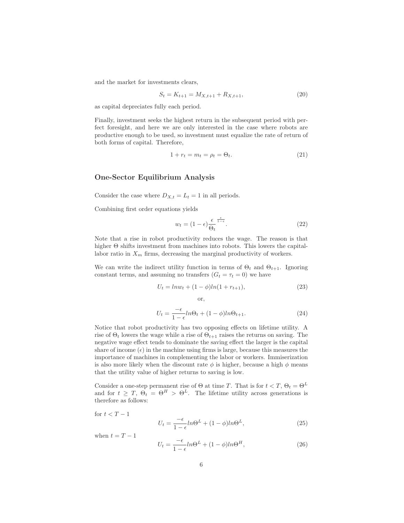and the market for investments clears,

$$
S_t = K_{t+1} = M_{X,t+1} + R_{X,t+1},\tag{20}
$$

as capital depreciates fully each period.

Finally, investment seeks the highest return in the subsequent period with perfect foresight, and here we are only interested in the case where robots are productive enough to be used, so investment must equalize the rate of return of both forms of capital. Therefore,

$$
1 + r_t = m_t = \rho_t = \Theta_t. \tag{21}
$$

#### One-Sector Equilibrium Analysis

Consider the case where  $D_{X,t} = L_t = 1$  in all periods.

Combining first order equations yields

$$
w_t = (1 - \epsilon) \frac{\epsilon}{\Theta_t}^{\frac{\epsilon}{1 - \epsilon}}.
$$
\n
$$
(22)
$$

Note that a rise in robot productivity reduces the wage. The reason is that higher  $\Theta$  shifts investment from machines into robots. This lowers the capitallabor ratio in  $X_m$  firms, decreasing the marginal productivity of workers.

We can write the indirect utility function in terms of  $\Theta_t$  and  $\Theta_{t+1}$ . Ignoring constant terms, and assuming no transfers  $(G_t = \tau_t = 0)$  we have

$$
U_t = ln w_t + (1 - \phi)ln(1 + r_{t+1}), \qquad (23)
$$

or,

$$
U_t = \frac{-\epsilon}{1 - \epsilon} ln \Theta_t + (1 - \phi) ln \Theta_{t+1}.
$$
\n(24)

Notice that robot productivity has two opposing effects on lifetime utility. A rise of  $\Theta_t$  lowers the wage while a rise of  $\Theta_{t+1}$  raises the returns on saving. The negative wage effect tends to dominate the saving effect the larger is the capital share of income  $(\epsilon)$  in the machine using firms is large, because this measures the importance of machines in complementing the labor or workers. Immiserization is also more likely when the discount rate  $\phi$  is higher, because a high  $\phi$  means that the utility value of higher returns to saving is low.

Consider a one-step permanent rise of  $\Theta$  at time T. That is for  $t < T$ ,  $\Theta_t = \Theta^L$ and for  $t \geq T$ ,  $\Theta_t = \Theta^H > \Theta^L$ . The lifetime utility across generations is therefore as follows:

$$
\quad \text{for } t < T-1
$$

$$
U_t = \frac{-\epsilon}{1 - \epsilon} ln\Theta^L + (1 - \phi) ln\Theta^L,\tag{25}
$$

when  $t = T - 1$ 

$$
U_t = \frac{-\epsilon}{1 - \epsilon} ln\Theta^L + (1 - \phi) ln\Theta^H,
$$
\n(26)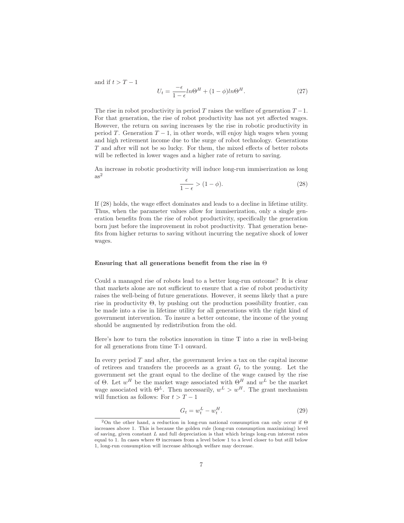and if  $t > T - 1$ 

$$
U_t = \frac{-\epsilon}{1 - \epsilon} ln\Theta^H + (1 - \phi) ln\Theta^H.
$$
 (27)

The rise in robot productivity in period T raises the welfare of generation  $T-1$ . For that generation, the rise of robot productivity has not yet affected wages. However, the return on saving increases by the rise in robotic productivity in period T. Generation  $T - 1$ , in other words, will enjoy high wages when young and high retirement income due to the surge of robot technology. Generations T and after will not be so lucky. For them, the mixed effects of better robots will be reflected in lower wages and a higher rate of return to saving.

An increase in robotic productivity will induce long-run immiserization as long  $as<sup>2</sup>$ 

$$
\frac{\epsilon}{1-\epsilon} > (1-\phi). \tag{28}
$$

If (28) holds, the wage effect dominates and leads to a decline in lifetime utility. Thus, when the parameter values allow for immiserization, only a single generation benefits from the rise of robot productivity, specifically the generation born just before the improvement in robot productivity. That generation benefits from higher returns to saving without incurring the negative shock of lower wages.

#### Ensuring that all generations benefit from the rise in  $\Theta$

Could a managed rise of robots lead to a better long-run outcome? It is clear that markets alone are not sufficient to ensure that a rise of robot productivity raises the well-being of future generations. However, it seems likely that a pure rise in productivity  $\Theta$ , by pushing out the production possibility frontier, can be made into a rise in lifetime utility for all generations with the right kind of government intervention. To insure a better outcome, the income of the young should be augmented by redistribution from the old.

Here's how to turn the robotics innovation in time T into a rise in well-being for all generations from time T-1 onward.

In every period  $T$  and after, the government levies a tax on the capital income of retirees and transfers the proceeds as a grant  $G_t$  to the young. Let the government set the grant equal to the decline of the wage caused by the rise of  $\Theta$ . Let  $w^H$  be the market wage associated with  $\Theta^H$  and  $w^L$  be the market wage associated with  $\Theta^L$ . Then necessarily,  $w^L > w^H$ . The grant mechanism will function as follows: For  $t > T - 1$ 

$$
G_t = w_t^L - w_t^H. \tag{29}
$$

<sup>&</sup>lt;sup>2</sup>On the other hand, a reduction in long-run national consumption can only occur if  $\Theta$ increases above 1. This is because the golden rule (long-run consumption maximizing) level of saving, given constant  $L$  and full depreciation is that which brings long-run interest rates equal to 1. In cases where  $\Theta$  increases from a level below 1 to a level closer to but still below 1, long-run consumption will increase although welfare may decrease.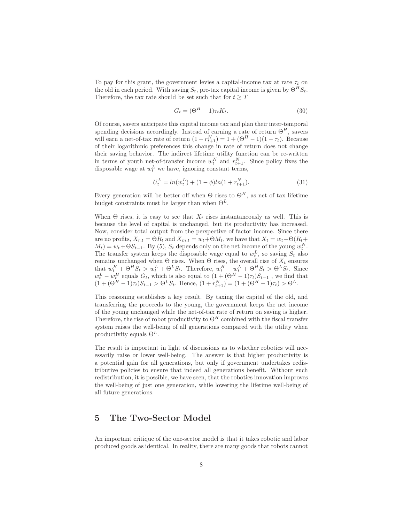To pay for this grant, the government levies a capital-income tax at rate  $\tau_t$  on the old in each period. With saving  $S_t$ , pre-tax capital income is given by  $\Theta^H S_t$ . Therefore, the tax rate should be set such that for  $t \geq T$ 

$$
G_t = (\Theta^H - 1)\tau_t K_t.
$$
\n(30)

Of course, savers anticipate this capital income tax and plan their inter-temporal spending decisions accordingly. Instead of earning a rate of return  $\Theta^H$ , savers will earn a net-of-tax rate of return  $(1 + r_{t+1}^N) = 1 + (\Theta^H - 1)(1 - \tau_t)$ . Because of their logarithmic preferences this change in rate of return does not change their saving behavior. The indirect lifetime utility function can be re-written in terms of youth net-of-transfer income  $w_t^N$  and  $r_{t+1}^N$ . Since policy fixes the disposable wage at  $w_t^L$  we have, ignoring constant terms,

$$
U_t^L = \ln(w_t^L) + (1 - \phi)\ln(1 + r_{t+1}^N). \tag{31}
$$

Every generation will be better off when  $\Theta$  rises to  $\Theta^H$ , as net of tax lifetime budget constraints must be larger than when  $\Theta^L$ .

When  $\Theta$  rises, it is easy to see that  $X_t$  rises instantaneously as well. This is because the level of capital is unchanged, but its productivity has increased. Now, consider total output from the perspective of factor income. Since there are no profits,  $X_{r,t} = \Theta R_t$  and  $X_{m,t} = w_t + \Theta M_t$ , we have that  $X_t = w_t + \Theta (R_t +$  $M_t$ ) =  $w_t + \Theta S_{t-1}$ . By (5),  $S_t$  depends only on the net income of the young  $w_t^N$ . The transfer system keeps the disposable wage equal to  $w_t^L$ , so saving  $S_t$  also The transfer system keeps the disposable wage equal to  $w_t$ , so saving  $S_t$  also remains unchanged when  $\Theta$  rises. When  $\Theta$  rises, the overall rise of  $X_t$  ensures that  $w_t^H + \Theta^H S_t > w_t^L + \Theta^L S_t$ . Therefore,  $w_t^H - w_t^L + \Theta^H S_t > \Theta^L S_t$ . Since  $w_t^L - w_t^H$  equals  $G_t$ , which is also equal to  $(1 + (\Theta^H - 1)\tau_t)S_{t-1}$ , we find that  $(1 + (\Theta^H - 1)\tau_t)S_{t-1} > \Theta^L S_t$ . Hence,  $(1 + r_{t+1}^N) = (1 + (\Theta^H - 1)\tau_t) > \Theta^L$ .

This reasoning establishes a key result. By taxing the capital of the old, and transferring the proceeds to the young, the government keeps the net income of the young unchanged while the net-of-tax rate of return on saving is higher. Therefore, the rise of robot productivity to  $\Theta^H$  combined with the fiscal transfer system raises the well-being of all generations compared with the utility when productivity equals  $\Theta^L$ .

The result is important in light of discussions as to whether robotics will necessarily raise or lower well-being. The answer is that higher productivity is a potential gain for all generations, but only if government undertakes redistributive policies to ensure that indeed all generations benefit. Without such redistribution, it is possible, we have seen, that the robotics innovation improves the well-being of just one generation, while lowering the lifetime well-being of all future generations.

### 5 The Two-Sector Model

An important critique of the one-sector model is that it takes robotic and labor produced goods as identical. In reality, there are many goods that robots cannot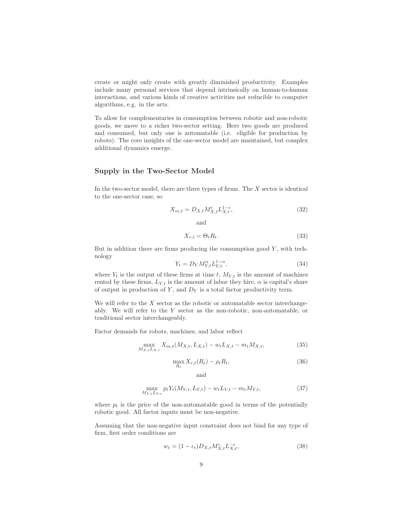create or might only create with greatly diminished productivity. Examples include many personal services that depend intrinsically on human-to-human interactions, and various kinds of creative activities not reducible to computer algorithms, e.g. in the arts.

To allow for complementaries in consumption between robotic and non-robotic goods, we move to a richer two-sector setting. Here two goods are produced and consumed, but only one is automatable (i.e. eligible for production by robots). The core insights of the one-sector model are maintained, but complex additional dynamics emerge.

### Supply in the Two-Sector Model

In the two-sector model, there are three types of firms. The  $X$  sector is identical to the one-sector case, so

$$
X_{m,t} = D_{X,t} M_{X,t}^{\epsilon} L_{X,t}^{1-\epsilon},\tag{32}
$$

and

$$
X_{r,t} = \Theta_t R_t. \tag{33}
$$

But in addition there are firms producing the consumption good  $Y$ , with technology

$$
Y_t = D_Y M_{Y,t}^{\alpha} L_{Y,t}^{1-\alpha},\tag{34}
$$

where  $Y_t$  is the output of these firms at time t,  $M_{Y,t}$  is the amount of machines rented by these firms,  $L_{Y,t}$  is the amount of labor they hire,  $\alpha$  is capital's share of output in production of Y, and  $D<sub>Y</sub>$  is a total factor productivity term.

We will refer to the  $X$  sector as the robotic or automatable sector interchangeably. We will refer to the Y sector as the non-robotic, non-automatable, or traditional sector interchangeably.

Factor demands for robots, machines, and labor reflect

$$
\max_{M_{X,t}L_{X,t}} X_{m,t}(M_{X,t}, L_{X,t}) - w_t L_{X,t} - m_t M_{X,t},
$$
\n(35)

$$
\max_{R_t} X_{r,t}(R_t) - \rho_t R_t,\tag{36}
$$

and

$$
\max_{M_{Y,t}L_{Y,t}} p_t Y_t (M_{Y,t}, L_{Y,t}) - w_t L_{Y,t} - m_t M_{Y,t},
$$
\n(37)

where  $p_t$  is the price of the non-automatable good in terms of the potentially robotic good. All factor inputs must be non-negative.

Assuming that the non-negative input constraint does not bind for any type of firm, first order conditions are

$$
w_t = (1 - \epsilon_t) D_{X,t} M_{X,t}^{\epsilon} L_{X,t}^{-\epsilon},
$$
\n(38)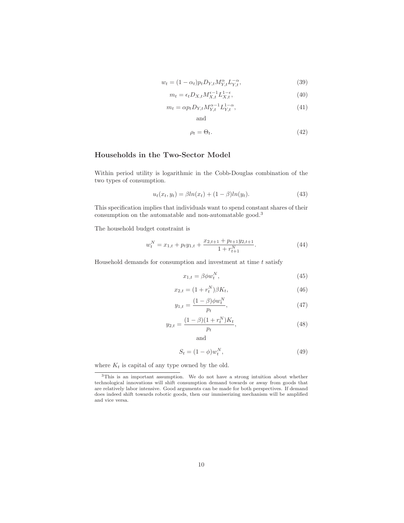$$
w_t = (1 - \alpha_t) p_t D_{Y,t} M_{Y,t}^{\alpha} L_{Y,t}^{-\alpha}, \qquad (39)
$$

$$
m_t = \epsilon_t D_{X,t} M_{X,t}^{\epsilon - 1} L_{X,t}^{1 - \epsilon},\tag{40}
$$

$$
m_t = \alpha p_t D_{Y,t} M_{Y,t}^{\alpha - 1} L_{Y,t}^{1 - \alpha}, \tag{41}
$$

$$
\rho_t = \Theta_t. \tag{42}
$$

### Households in the Two-Sector Model

Within period utility is logarithmic in the Cobb-Douglas combination of the two types of consumption.

and

$$
u_t(x_t, y_t) = \beta ln(x_t) + (1 - \beta) ln(y_t).
$$
 (43)

This specification implies that individuals want to spend constant shares of their consumption on the automatable and non-automatable good.<sup>3</sup>

The household budget constraint is

$$
w_t^N = x_{1,t} + p_t y_{1,t} + \frac{x_{2,t+1} + p_{t+1} y_{2,t+1}}{1 + r_{t+1}^N}.
$$
\n(44)

Household demands for consumption and investment at time  $t$  satisfy

$$
x_{1,t} = \beta \phi w_t^N,\tag{45}
$$

$$
x_{2,t} = (1 + r_t^N)\beta K_t,
$$
\n(46)

$$
y_{1,t} = \frac{(1-\beta)\phi w_t^N}{p_t},
$$
\n(47)

$$
y_{2,t} = \frac{(1-\beta)(1+r_t^N)K_t}{p_t},\tag{48}
$$

and

N

$$
S_t = (1 - \phi)w_t^N,\t\t(49)
$$

where  $K_t$  is capital of any type owned by the old.

<sup>3</sup>This is an important assumption. We do not have a strong intuition about whether technological innovations will shift consumption demand towards or away from goods that are relatively labor intensive. Good arguments can be made for both perspectives. If demand does indeed shift towards robotic goods, then our immiserizing mechanism will be amplified and vice versa.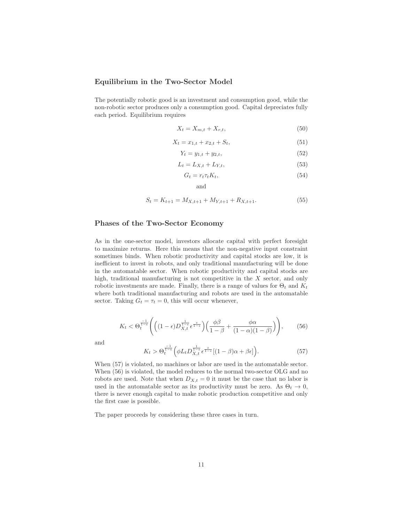#### Equilibrium in the Two-Sector Model

The potentially robotic good is an investment and consumption good, while the non-robotic sector produces only a consumption good. Capital depreciates fully each period. Equilibrium requires

$$
X_t = X_{m,t} + X_{r,t},\tag{50}
$$

$$
X_t = x_{1,t} + x_{2,t} + S_t, \t\t(51)
$$

$$
Y_t = y_{1,t} + y_{2,t},\tag{52}
$$

$$
L_t = L_{X,t} + L_{Y,t},\tag{53}
$$

$$
G_t = r_t \tau_t K_t,\tag{54}
$$

and

$$
S_t = K_{t+1} = M_{X,t+1} + M_{Y,t+1} + R_{X,t+1}.
$$
\n
$$
(55)
$$

#### Phases of the Two-Sector Economy

As in the one-sector model, investors allocate capital with perfect foresight to maximize returns. Here this means that the non-negative input constraint sometimes binds. When robotic productivity and capital stocks are low, it is inefficient to invest in robots, and only traditional manufacturing will be done in the automatable sector. When robotic productivity and capital stocks are high, traditional manufacturing is not competitive in the X sector, and only robotic investments are made. Finally, there is a range of values for  $\Theta_t$  and  $K_t$ where both traditional manufacturing and robots are used in the automatable sector. Taking  $G_t = \tau_t = 0$ , this will occur whenever,

$$
K_t < \Theta_t^{\frac{-1}{1-\epsilon}} \left( \left( (1-\epsilon) D_{X,t}^{\frac{1}{1-\epsilon}} \epsilon^{\frac{\epsilon}{1-\epsilon}} \right) \left( \frac{\phi \beta}{1-\beta} + \frac{\phi \alpha}{(1-\alpha)(1-\beta)} \right) \right), \tag{56}
$$

and

$$
K_t > \Theta_t^{\frac{-1}{1-\epsilon}} \Big( \phi L_t D_{X,t}^{\frac{1}{1-\epsilon}} \epsilon^{\frac{\epsilon}{1-\epsilon}} [(1-\beta)\alpha + \beta \epsilon] \Big). \tag{57}
$$

When (57) is violated, no machines or labor are used in the automatable sector. When (56) is violated, the model reduces to the normal two-sector OLG and no robots are used. Note that when  $D_{X,t} = 0$  it must be the case that no labor is used in the automatable sector as its productivity must be zero. As  $\Theta_t \to 0$ , there is never enough capital to make robotic production competitive and only the first case is possible.

The paper proceeds by considering these three cases in turn.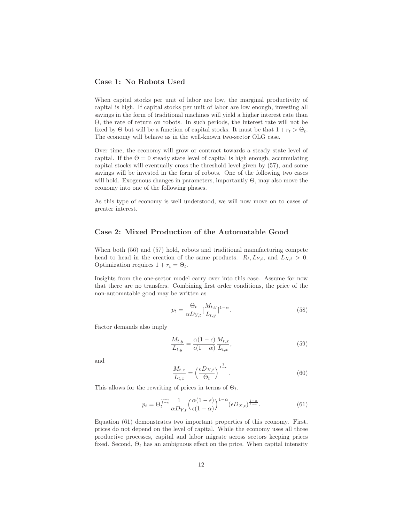#### Case 1: No Robots Used

When capital stocks per unit of labor are low, the marginal productivity of capital is high. If capital stocks per unit of labor are low enough, investing all savings in the form of traditional machines will yield a higher interest rate than Θ, the rate of return on robots. In such periods, the interest rate will not be fixed by  $\Theta$  but will be a function of capital stocks. It must be that  $1 + r_t > \Theta_t$ . The economy will behave as in the well-known two-sector OLG case.

Over time, the economy will grow or contract towards a steady state level of capital. If the  $\Theta = 0$  steady state level of capital is high enough, accumulating capital stocks will eventually cross the threshold level given by (57), and some savings will be invested in the form of robots. One of the following two cases will hold. Exogenous changes in parameters, importantly  $\Theta$ , may also move the economy into one of the following phases.

As this type of economy is well understood, we will now move on to cases of greater interest.

#### Case 2: Mixed Production of the Automatable Good

When both (56) and (57) hold, robots and traditional manufacturing compete head to head in the creation of the same products.  $R_t, L_{Y,t}$ , and  $L_{X,t} > 0$ . Optimization requires  $1 + r_t = \Theta_t$ .

Insights from the one-sector model carry over into this case. Assume for now that there are no transfers. Combining first order conditions, the price of the non-automatable good may be written as

$$
p_t = \frac{\Theta_t}{\alpha D_{Y,t}} \left[\frac{M_{t,y}}{L_{t,y}}\right]^{1-\alpha}.\tag{58}
$$

Factor demands also imply

$$
\frac{M_{t,y}}{L_{t,y}} = \frac{\alpha(1-\epsilon)}{\epsilon(1-\alpha)} \frac{M_{t,x}}{L_{t,x}},\tag{59}
$$

and

$$
\frac{M_{t,x}}{L_{t,x}} = \left(\frac{\epsilon D_{X,t}}{\Theta_t}\right)^{\frac{1}{1-\epsilon}}.\tag{60}
$$

This allows for the rewriting of prices in terms of  $\Theta_t$ .

$$
p_t = \Theta_t^{\frac{\alpha - \epsilon}{1 - \epsilon}} \frac{1}{\alpha D_{Y,t}} \left( \frac{\alpha (1 - \epsilon)}{\epsilon (1 - \alpha)} \right)^{1 - \alpha} (\epsilon D_{X,t})^{\frac{1 - \alpha}{1 - \epsilon}}.
$$
 (61)

Equation (61) demonstrates two important properties of this economy. First, prices do not depend on the level of capital. While the economy uses all three productive processes, capital and labor migrate across sectors keeping prices fixed. Second,  $\Theta_t$  has an ambiguous effect on the price. When capital intensity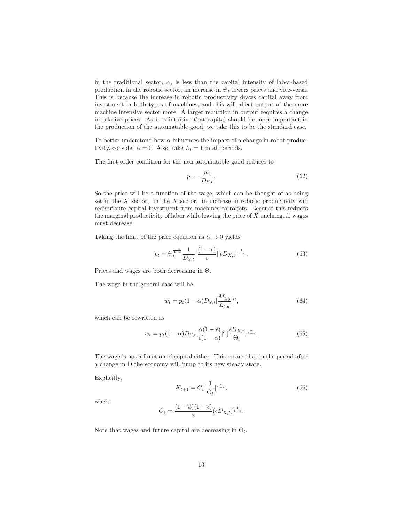in the traditional sector,  $\alpha$ , is less than the capital intensity of labor-based production in the robotic sector, an increase in  $\Theta_t$  lowers prices and vice-versa. This is because the increase in robotic productivity draws capital away from investment in both types of machines, and this will affect output of the more machine intensive sector more. A larger reduction in output requires a change in relative prices. As it is intuitive that capital should be more important in the production of the automatable good, we take this to be the standard case.

To better understand how  $\alpha$  influences the impact of a change in robot productivity, consider  $\alpha = 0$ . Also, take  $L_t = 1$  in all periods.

The first order condition for the non-automatable good reduces to

$$
p_t = \frac{w_t}{D_{Y,t}}.\tag{62}
$$

So the price will be a function of the wage, which can be thought of as being set in the  $X$  sector. In the  $X$  sector, an increase in robotic productivity will redistribute capital investment from machines to robots. Because this reduces the marginal productivity of labor while leaving the price of X unchanged, wages must decrease.

Taking the limit of the price equation as  $\alpha \to 0$  yields

$$
p_t = \Theta_t^{\frac{-\epsilon}{1-\epsilon}} \frac{1}{D_{Y,t}} \left[\frac{(1-\epsilon)}{\epsilon}\right] [\epsilon D_{X,t}]^{\frac{1}{1-\epsilon}}.
$$
 (63)

Prices and wages are both decreasing in Θ.

The wage in the general case will be

$$
w_t = p_t (1 - \alpha) D_{Y,t} \left[ \frac{M_{t,y}}{L_{t,y}} \right]^\alpha, \tag{64}
$$

which can be rewritten as

$$
w_t = p_t (1 - \alpha) D_{Y,t} \left[ \frac{\alpha (1 - \epsilon)}{\epsilon (1 - \alpha)} \right]^\alpha \left[ \frac{\epsilon D_{X,t}}{\Theta_t} \right]^{ \frac{\alpha}{1 - \epsilon}}.
$$
 (65)

The wage is not a function of capital either. This means that in the period after a change in Θ the economy will jump to its new steady state.

Explicitly,

$$
K_{t+1} = C_1 \left[\frac{1}{\Theta_t}\right]^{\frac{\epsilon}{1-\epsilon}},\tag{66}
$$

where

$$
C_1 = \frac{(1 - \phi)(1 - \epsilon)}{\epsilon} (\epsilon D_{X,t})^{\frac{1}{1 - \epsilon}}.
$$

Note that wages and future capital are decreasing in  $\Theta_t$ .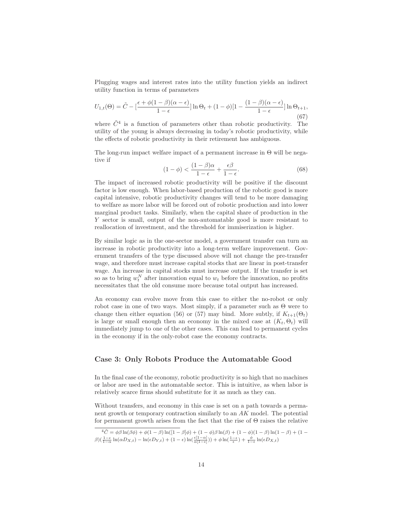Plugging wages and interest rates into the utility function yields an indirect utility function in terms of parameters

$$
U_{1,t}(\Theta) = \tilde{C} - \left[\frac{\epsilon + \phi(1-\beta)(\alpha-\epsilon)}{1-\epsilon}\right] \ln \Theta_t + (1-\phi)\left[1 - \frac{(1-\beta)(\alpha-\epsilon)}{1-\epsilon}\right] \ln \Theta_{t+1},\tag{67}
$$

where  $\tilde{C}^4$  is a function of parameters other than robotic productivity. The utility of the young is always decreasing in today's robotic productivity, while the effects of robotic productivity in their retirement has ambiguous.

The long-run impact welfare impact of a permanent increase in  $\Theta$  will be negative if

$$
(1 - \phi) < \frac{(1 - \beta)\alpha}{1 - \epsilon} + \frac{\epsilon\beta}{1 - \epsilon}.\tag{68}
$$

The impact of increased robotic productivity will be positive if the discount factor is low enough. When labor-based production of the robotic good is more capital intensive, robotic productivity changes will tend to be more damaging to welfare as more labor will be forced out of robotic production and into lower marginal product tasks. Similarly, when the capital share of production in the Y sector is small, output of the non-automatable good is more resistant to reallocation of investment, and the threshold for immiserization is higher.

By similar logic as in the one-sector model, a government transfer can turn an increase in robotic productivity into a long-term welfare improvement. Government transfers of the type discussed above will not change the pre-transfer wage, and therefore must increase capital stocks that are linear in post-transfer wage. An increase in capital stocks must increase output. If the transfer is set so as to bring  $w_t^N$  after innovation equal to  $w_t$  before the innovation, no profits necessitates that the old consume more because total output has increased.

An economy can evolve move from this case to either the no-robot or only robot case in one of two ways. Most simply, if a parameter such as Θ were to change then either equation (56) or (57) may bind. More subtly, if  $K_{t+1}(\Theta_t)$ is large or small enough then an economy in the mixed case at  $(K_t, \Theta_t)$  will immediately jump to one of the other cases. This can lead to permanent cycles in the economy if in the only-robot case the economy contracts.

#### Case 3: Only Robots Produce the Automatable Good

In the final case of the economy, robotic productivity is so high that no machines or labor are used in the automatable sector. This is intuitive, as when labor is relatively scarce firms should substitute for it as much as they can.

Without transfers, and economy in this case is set on a path towards a permanent growth or temporary contraction similarly to an AK model. The potential for permanent growth arises from the fact that the rise of Θ raises the relative

$$
{}^4\tilde{C} = \phi\beta\ln(\beta\phi) + \phi(1-\beta)\ln([1-\beta]\phi) + (1-\phi)\beta\ln(\beta) + (1-\phi)(1-\beta)\ln(1-\beta) + (1-\phi)(\frac{1-\epsilon}{1-\alpha}\ln(\alpha D_{X,t}) - \ln(\epsilon D_{Y,t}) + (1-\epsilon)\ln(\frac{\epsilon[1-\alpha]}{\alpha(1-\epsilon)})) + \phi\ln(\frac{1-\epsilon}{\epsilon}) + \frac{\phi}{1-\epsilon}\ln(\epsilon D_{X,t})
$$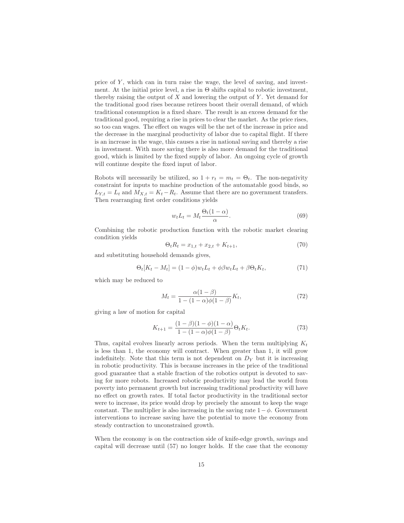price of  $Y$ , which can in turn raise the wage, the level of saving, and investment. At the initial price level, a rise in  $\Theta$  shifts capital to robotic investment, thereby raising the output of  $X$  and lowering the output of  $Y$ . Yet demand for the traditional good rises because retirees boost their overall demand, of which traditional consumption is a fixed share. The result is an excess demand for the traditional good, requiring a rise in prices to clear the market. As the price rises, so too can wages. The effect on wages will be the net of the increase in price and the decrease in the marginal productivity of labor due to capital flight. If there is an increase in the wage, this causes a rise in national saving and thereby a rise in investment. With more saving there is also more demand for the traditional good, which is limited by the fixed supply of labor. An ongoing cycle of growth will continue despite the fixed input of labor.

Robots will necessarily be utilized, so  $1 + r_t = m_t = \Theta_t$ . The non-negativity constraint for inputs to machine production of the automatable good binds, so  $L_{Y,t} = L_t$  and  $M_{X,t} = K_t - R_t$ . Assume that there are no government transfers. Then rearranging first order conditions yields

$$
w_t L_t = M_t \frac{\Theta_t (1 - \alpha)}{\alpha}.
$$
\n(69)

Combining the robotic production function with the robotic market clearing condition yields

$$
\Theta_t R_t = x_{1,t} + x_{2,t} + K_{t+1},\tag{70}
$$

and substituting household demands gives,

$$
\Theta_t[K_t - M_t] = (1 - \phi)w_t L_t + \phi \beta w_t L_t + \beta \Theta_t K_t, \qquad (71)
$$

which may be reduced to

$$
M_t = \frac{\alpha(1-\beta)}{1 - (1-\alpha)\phi(1-\beta)} K_t,
$$
\n(72)

giving a law of motion for capital

$$
K_{t+1} = \frac{(1-\beta)(1-\phi)(1-\alpha)}{1-(1-\alpha)\phi(1-\beta)} \Theta_t K_t.
$$
 (73)

Thus, capital evolves linearly across periods. When the term multiplying  $K_t$ is less than 1, the economy will contract. When greater than 1, it will grow indefinitely. Note that this term is not dependent on  $D<sub>Y</sub>$  but it is increasing in robotic productivity. This is because increases in the price of the traditional good guarantee that a stable fraction of the robotics output is devoted to saving for more robots. Increased robotic productivity may lead the world from poverty into permanent growth but increasing traditional productivity will have no effect on growth rates. If total factor productivity in the traditional sector were to increase, its price would drop by precisely the amount to keep the wage constant. The multiplier is also increasing in the saving rate  $1-\phi$ . Government interventions to increase saving have the potential to move the economy from steady contraction to unconstrained growth.

When the economy is on the contraction side of knife-edge growth, savings and capital will decrease until (57) no longer holds. If the case that the economy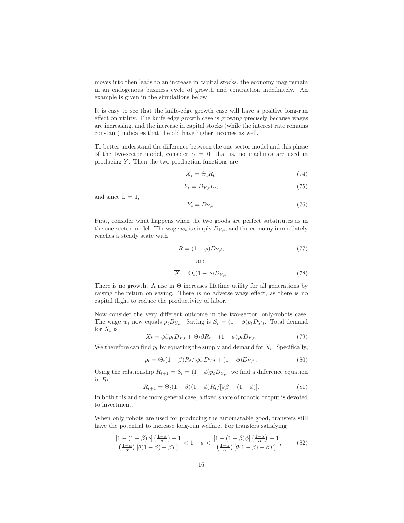moves into then leads to an increase in capital stocks, the economy may remain in an endogenous business cycle of growth and contraction indefinitely. An example is given in the simulations below.

It is easy to see that the knife-edge growth case will have a positive long-run effect on utility. The knife edge growth case is growing precisely because wages are increasing, and the increase in capital stocks (while the interest rate remains constant) indicates that the old have higher incomes as well.

To better understand the difference between the one-sector model and this phase of the two-sector model, consider  $\alpha = 0$ , that is, no machines are used in producing  $Y$ . Then the two production functions are

$$
X_t = \Theta_t R_t,\tag{74}
$$

$$
Y_t = D_{Y,t} L_t,\tag{75}
$$

and since  $L = 1$ ,

$$
Y_t = D_{Y,t}.\tag{76}
$$

First, consider what happens when the two goods are perfect substitutes as in the one-sector model. The wage  $w_t$  is simply  $D_{Y,t}$ , and the economy immediately reaches a steady state with

$$
\overline{R} = (1 - \phi)D_{Y,t},\tag{77}
$$

and  $\overline{X} = \Theta_t (1 - \phi) D_{Yt}.$  (78)

There is no growth. A rise in  $\Theta$  increases lifetime utility for all generations by raising the return on saving. There is no adverse wage effect, as there is no capital flight to reduce the productivity of labor.

Now consider the very different outcome in the two-sector, only-robots case. The wage  $w_t$  now equals  $p_t D_{Y,t}$ . Saving is  $S_t = (1 - \phi)p_t D_{Y,t}$ . Total demand for  $X_t$  is

$$
X_t = \phi \beta p_t D_{Y,t} + \Theta_t \beta R_t + (1 - \phi) p_t D_{Y,t}.
$$
\n(79)

We therefore can find  $p_t$  by equating the supply and demand for  $X_t$ . Specifically,

$$
p_t = \Theta_t (1 - \beta) R_t / [\phi \beta D_{Y,t} + (1 - \phi) D_{Y,t}]. \tag{80}
$$

Using the relationship  $R_{t+1} = S_t = (1 - \phi)p_tD_{Y,t}$ , we find a difference equation in  $R_t$ ,

$$
R_{t+1} = \Theta_t (1 - \beta)(1 - \phi) R_t / [\phi \beta + (1 - \phi)]. \tag{81}
$$

In both this and the more general case, a fixed share of robotic output is devoted to investment.

When only robots are used for producing the automatable good, transfers still have the potential to increase long-run welfare. For transfers satisfying

$$
-\frac{\left[1-(1-\beta)\phi\right]\left(\frac{1-\alpha}{\alpha}\right)+1}{\left(\frac{1-\alpha}{\alpha}\right)\left[\theta(1-\beta)+\beta T\right]}<1-\phi<\frac{\left[1-(1-\beta)\phi\right]\left(\frac{1-\alpha}{\alpha}\right)+1}{\left(\frac{1-\alpha}{\alpha}\right)\left[\theta(1-\beta)+\beta T\right]},\tag{82}
$$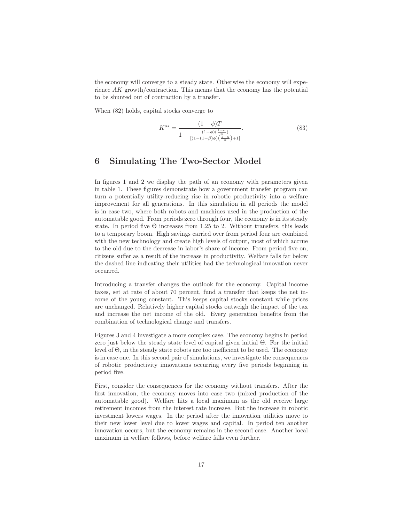the economy will converge to a steady state. Otherwise the economy will experience AK growth/contraction. This means that the economy has the potential to be shunted out of contraction by a transfer.

When (82) holds, capital stocks converge to

$$
K^{ss} = \frac{(1-\phi)T}{1 - \frac{(1-\phi)(\frac{1-\alpha}{\alpha})}{[(1-(1-\beta)\phi)(\frac{1-\alpha}{\alpha})+1]}}.\tag{83}
$$

# 6 Simulating The Two-Sector Model

In figures 1 and 2 we display the path of an economy with parameters given in table 1. These figures demonstrate how a government transfer program can turn a potentially utility-reducing rise in robotic productivity into a welfare improvement for all generations. In this simulation in all periods the model is in case two, where both robots and machines used in the production of the automatable good. From periods zero through four, the economy is in its steady state. In period five  $\Theta$  increases from 1.25 to 2. Without transfers, this leads to a temporary boom. High savings carried over from period four are combined with the new technology and create high levels of output, most of which accrue to the old due to the decrease in labor's share of income. From period five on, citizens suffer as a result of the increase in productivity. Welfare falls far below the dashed line indicating their utilities had the technological innovation never occurred.

Introducing a transfer changes the outlook for the economy. Capital income taxes, set at rate of about 70 percent, fund a transfer that keeps the net income of the young constant. This keeps capital stocks constant while prices are unchanged. Relatively higher capital stocks outweigh the impact of the tax and increase the net income of the old. Every generation benefits from the combination of technological change and transfers.

Figures 3 and 4 investigate a more complex case. The economy begins in period zero just below the steady state level of capital given initial Θ. For the initial level of Θ, in the steady state robots are too inefficient to be used. The economy is in case one. In this second pair of simulations, we investigate the consequences of robotic productivity innovations occurring every five periods beginning in period five.

First, consider the consequences for the economy without transfers. After the first innovation, the economy moves into case two (mixed production of the automatable good). Welfare hits a local maximum as the old receive large retirement incomes from the interest rate increase. But the increase in robotic investment lowers wages. In the period after the innovation utilities move to their new lower level due to lower wages and capital. In period ten another innovation occurs, but the economy remains in the second case. Another local maximum in welfare follows, before welfare falls even further.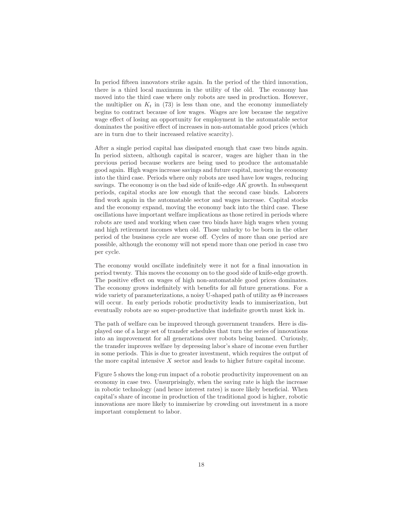In period fifteen innovators strike again. In the period of the third innovation, there is a third local maximum in the utility of the old. The economy has moved into the third case where only robots are used in production. However, the multiplier on  $K_t$  in (73) is less than one, and the economy immediately begins to contract because of low wages. Wages are low because the negative wage effect of losing an opportunity for employment in the automatable sector dominates the positive effect of increases in non-automatable good prices (which are in turn due to their increased relative scarcity).

After a single period capital has dissipated enough that case two binds again. In period sixteen, although capital is scarcer, wages are higher than in the previous period because workers are being used to produce the automatable good again. High wages increase savings and future capital, moving the economy into the third case. Periods where only robots are used have low wages, reducing savings. The economy is on the bad side of knife-edge  $AK$  growth. In subsequent periods, capital stocks are low enough that the second case binds. Laborers find work again in the automatable sector and wages increase. Capital stocks and the economy expand, moving the economy back into the third case. These oscillations have important welfare implications as those retired in periods where robots are used and working when case two binds have high wages when young and high retirement incomes when old. Those unlucky to be born in the other period of the business cycle are worse off. Cycles of more than one period are possible, although the economy will not spend more than one period in case two per cycle.

The economy would oscillate indefinitely were it not for a final innovation in period twenty. This moves the economy on to the good side of knife-edge growth. The positive effect on wages of high non-automatable good prices dominates. The economy grows indefinitely with benefits for all future generations. For a wide variety of parameterizations, a noisy U-shaped path of utility as  $\Theta$  increases will occur. In early periods robotic productivity leads to immiserization, but eventually robots are so super-productive that indefinite growth must kick in.

The path of welfare can be improved through government transfers. Here is displayed one of a large set of transfer schedules that turn the series of innovations into an improvement for all generations over robots being banned. Curiously, the transfer improves welfare by depressing labor's share of income even further in some periods. This is due to greater investment, which requires the output of the more capital intensive  $X$  sector and leads to higher future capital income.

Figure 5 shows the long-run impact of a robotic productivity improvement on an economy in case two. Unsurprisingly, when the saving rate is high the increase in robotic technology (and hence interest rates) is more likely beneficial. When capital's share of income in production of the traditional good is higher, robotic innovations are more likely to immiserize by crowding out investment in a more important complement to labor.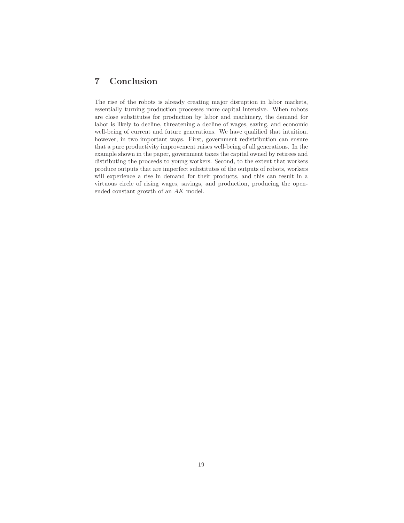# 7 Conclusion

The rise of the robots is already creating major disruption in labor markets, essentially turning production processes more capital intensive. When robots are close substitutes for production by labor and machinery, the demand for labor is likely to decline, threatening a decline of wages, saving, and economic well-being of current and future generations. We have qualified that intuition, however, in two important ways. First, government redistribution can ensure that a pure productivity improvement raises well-being of all generations. In the example shown in the paper, government taxes the capital owned by retirees and distributing the proceeds to young workers. Second, to the extent that workers produce outputs that are imperfect substitutes of the outputs of robots, workers will experience a rise in demand for their products, and this can result in a virtuous circle of rising wages, savings, and production, producing the openended constant growth of an AK model.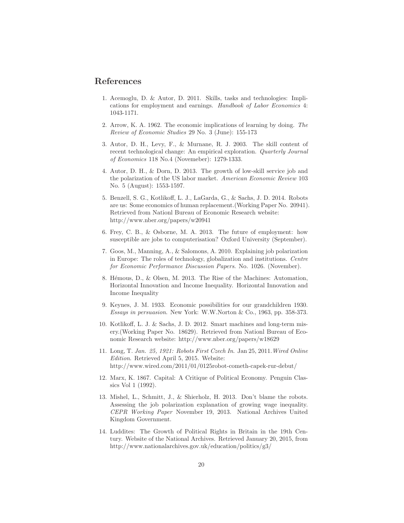## References

- 1. Acemoglu, D. & Autor, D. 2011. Skills, tasks and technologies: Implications for employment and earnings. *Handbook of Labor Economics* 4: 1043-1171.
- 2. Arrow, K. A. 1962. The economic implications of learning by doing. *The Review of Economic Studies* 29 No. 3 (June): 155-173
- 3. Autor, D. H., Levy, F., & Murnane, R. J. 2003. The skill content of recent technological change: An empirical exploration. *Quarterly Journal of Economics* 118 No.4 (Novemeber): 1279-1333.
- 4. Autor, D. H., & Dorn, D. 2013. The growth of low-skill service job and the polarization of the US labor market. *American Economic Review* 103 No. 5 (August): 1553-1597.
- 5. Benzell, S. G., Kotlikoff, L. J., LaGarda, G., & Sachs, J. D. 2014. Robots are us: Some economics of human replacement.(Working Paper No. 20941). Retrieved from Nationl Bureau of Economic Research website: http://www.nber.org/papers/w20941
- 6. Frey, C. B., & Osborne, M. A. 2013. The future of employment: how susceptible are jobs to computerisation? Oxford University (September).
- 7. Goos, M., Manning, A., & Salomons, A. 2010. Explaining job polarization in Europe: The roles of technology, globalization and institutions. *Centre for Economic Performance Discussion Papers*. No. 1026. (November).
- 8. Hémous, D., & Olsen, M. 2013. The Rise of the Machines: Automation, Horizontal Innovation and Income Inequality. Horizontal Innovation and Income Inequality
- 9. Keynes, J. M. 1933. Economic possibilities for our grandchildren 1930. *Essays in persuasion*. New York: W.W.Norton & Co., 1963, pp. 358-373.
- 10. Kotlikoff, L. J. & Sachs, J. D. 2012. Smart machines and long-term misery.(Working Paper No. 18629). Retrieved from Nationl Bureau of Economic Research website: http://www.nber.org/papers/w18629
- 11. Long, T. *Jan. 25, 1921: Robots First Czech In*. Jan 25, 2011.*Wired Online Edition*. Retrieved April 5, 2015. Website: http://www.wired.com/2011/01/0125robot-cometh-capek-rur-debut/
- 12. Marx, K. 1867. Capital: A Critique of Political Economy. Penguin Classics Vol 1 (1992).
- 13. Mishel, L., Schmitt, J., & Shierholz, H. 2013. Don't blame the robots. Assessing the job polarization explanation of growing wage inequality. *CEPR Working Paper* November 19, 2013. National Archives United Kingdom Government.
- 14. Luddites: The Growth of Political Rights in Britain in the 19th Century. Website of the National Archives. Retrieved January 20, 2015, from http://www.nationalarchives.gov.uk/education/politics/g3/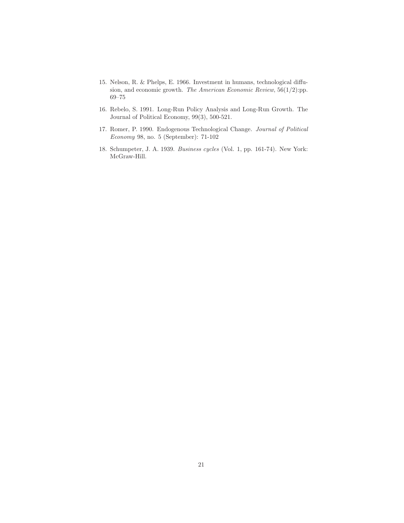- 15. Nelson, R. & Phelps, E. 1966. Investment in humans, technological diffusion, and economic growth. *The American Economic Review*, 56(1/2):pp. 69–75
- 16. Rebelo, S. 1991. Long-Run Policy Analysis and Long-Run Growth. The Journal of Political Economy, 99(3), 500-521.
- 17. Romer, P. 1990. Endogenous Technological Change. *Journal of Political Economy* 98, no. 5 (September): 71-102
- 18. Schumpeter, J. A. 1939. *Business cycles* (Vol. 1, pp. 161-74). New York: McGraw-Hill.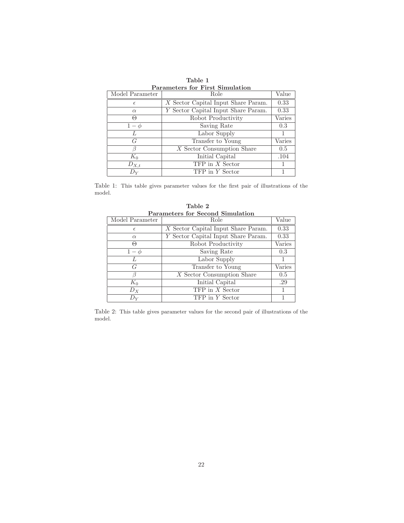| Parameters for First Simulation |                                     |        |  |
|---------------------------------|-------------------------------------|--------|--|
| Model Parameter                 | Role                                | Value  |  |
| $\epsilon$                      | X Sector Capital Input Share Param. | 0.33   |  |
| $\alpha$                        | Y Sector Capital Input Share Param. | 0.33   |  |
| $\Theta$                        | Robot Productivity                  | Varies |  |
| $1-\phi$                        | Saving Rate                         | 0.3    |  |
|                                 | Labor Supply                        |        |  |
| G                               | Transfer to Young                   | Varies |  |
|                                 | $X$ Sector Consumption Share        | 0.5    |  |
| $K_0$                           | Initial Capital                     | .104   |  |
| $D_{X,t}$                       | $TFP$ in $X$ Sector                 |        |  |
| Dv                              | TFP in Y Sector                     |        |  |

Table 1 Parameters for First Simulation

Table 1: This table gives parameter values for the first pair of illustrations of the model.

| Parameters for Second Simulation |                                       |        |  |
|----------------------------------|---------------------------------------|--------|--|
| Model Parameter                  | Role                                  | Value  |  |
| $\epsilon$                       | $X$ Sector Capital Input Share Param. | 0.33   |  |
| $\alpha$                         | Y Sector Capital Input Share Param.   | 0.33   |  |
| $\Theta$                         | Robot Productivity                    | Varies |  |
| $1-\phi$                         | Saving Rate                           | 0.3    |  |
| $\mathcal{L}$                    | Labor Supply                          |        |  |
| G                                | Transfer to Young                     | Varies |  |
|                                  | X Sector Consumption Share            | 0.5    |  |
| $K_0$                            | Initial Capital                       | .29    |  |
| $D_X$                            | TFP in X Sector                       |        |  |
|                                  | TFP in Y Sector                       |        |  |

Table 2 Parameters for Second Simulation

Table 2: This table gives parameter values for the second pair of illustrations of the model.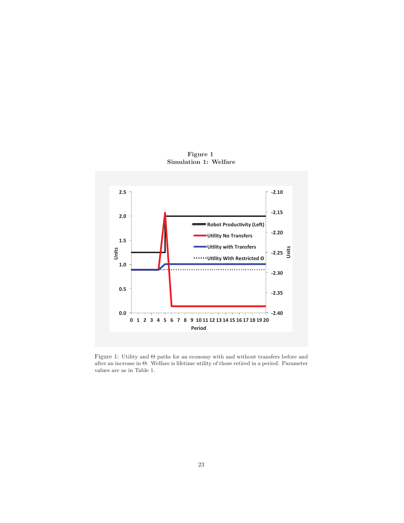

Figure 1 Simulation 1: Welfare

Figure 1: Utility and Θ paths for an economy with and without transfers before and after an increase in Θ. Welfare is lifetime utility of those retired in a period. Parameter values are as in Table 1.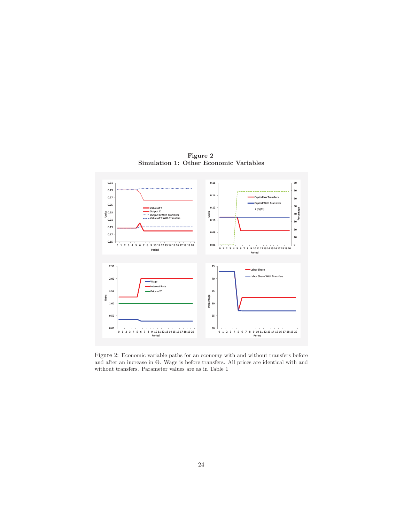

Figure 2 Simulation 1: Other Economic Variables

Figure 2: Economic variable paths for an economy with and without transfers before and after an increase in  $\Theta$ . Wage is before transfers. All prices are identical with and without transfers. Parameter values are as in Table 1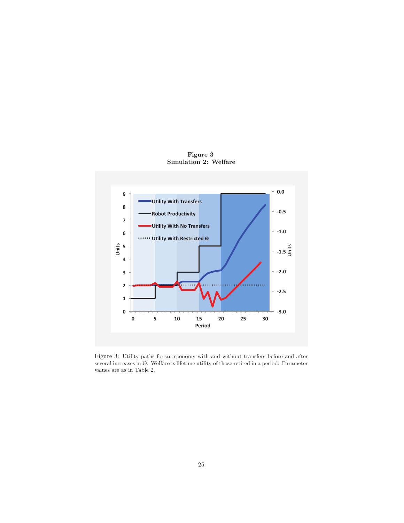

Figure 3 Simulation 2: Welfare

Figure 3: Utility paths for an economy with and without transfers before and after several increases in Θ. Welfare is lifetime utility of those retired in a period. Parameter values are as in Table 2.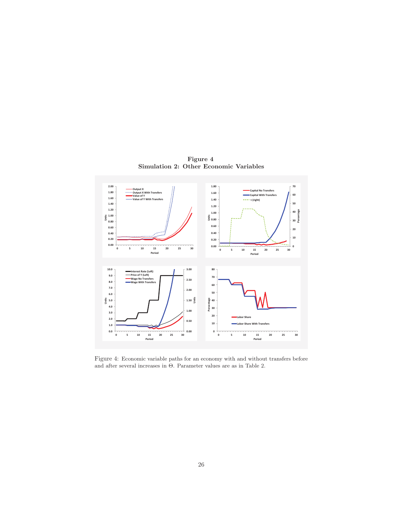

Figure 4 Simulation 2: Other Economic Variables

Figure 4: Economic variable paths for an economy with and without transfers before and after several increases in Θ. Parameter values are as in Table 2.